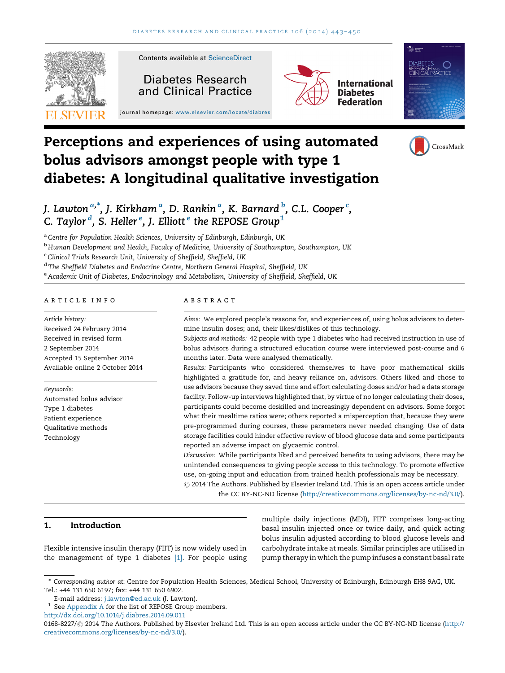

# Perceptions and experiences of using automated bolus advisors amongst people with type 1 diabetes: A longitudinal qualitative investigation



a Centre for Population Health Sciences, University of Edinburgh, Edinburgh, UK

<sup>b</sup> Human Development and Health, Faculty of Medicine, University of Southampton, Southampton, UK

<sup>c</sup> Clinical Trials Research Unit, University of Sheffield, Sheffield, UK

<sup>d</sup> The Sheffield Diabetes and Endocrine Centre, Northern General Hospital, Sheffield, UK

e Academic Unit of Diabetes, Endocrinology and Metabolism, University of Sheffield, Sheffield, UK

## a r t i c l e i n f o

Article history: Received 24 February 2014 Received in revised form 2 September 2014 Accepted 15 September 2014 Available online 2 October 2014

Keywords:

Automated bolus advisor Type 1 diabetes Patient experience Qualitative methods Technology

## A B S T R A C T

Aims: We explored people's reasons for, and experiences of, using bolus advisors to determine insulin doses; and, their likes/dislikes of this technology.

CrossMark

Subjects and methods: 42 people with type 1 diabetes who had received instruction in use of bolus advisors during a structured education course were interviewed post-course and 6 months later. Data were analysed thematically.

Results: Participants who considered themselves to have poor mathematical skills highlighted a gratitude for, and heavy reliance on, advisors. Others liked and chose to use advisors because they saved time and effort calculating doses and/or had a data storage facility. Follow-up interviews highlighted that, by virtue of no longer calculating their doses, participants could become deskilled and increasingly dependent on advisors. Some forgot what their mealtime ratios were; others reported a misperception that, because they were pre-programmed during courses, these parameters never needed changing. Use of data storage facilities could hinder effective review of blood glucose data and some participants reported an adverse impact on glycaemic control.

Discussion: While participants liked and perceived benefits to using advisors, there may be unintended consequences to giving people access to this technology. To promote effective use, on-going input and education from trained health professionals may be necessary.

 $\odot$  2014 The Authors. Published by Elsevier Ireland Ltd. This is an open access article under the CC BY-NC-ND license ([http://creativecommons.org/licenses/by-nc-nd/3.0/\)](http://creativecommons.org/licenses/by-nc-nd/3.0/).

# 1. Introduction

Flexible intensive insulin therapy (FIIT) is now widely used in the management of type 1 diabetes [\[1\]](#page-6-0). For people using

multiple daily injections (MDI), FIIT comprises long-acting basal insulin injected once or twice daily, and quick acting bolus insulin adjusted according to blood glucose levels and carbohydrate intake at meals. Similar principles are utilised in pump therapy in which the pump infuses a constant basal rate

<sup>\*</sup> Corresponding author at: Centre for Population Health Sciences, Medical School, University of Edinburgh, Edinburgh EH8 9AG, UK. Tel.: +44 131 650 6197; fax: +44 131 650 6902.

E-mail address: [j.lawton@ed.ac.uk](mailto:j.lawton@ed.ac.uk) (J. Lawton).

<sup>&</sup>lt;sup>1</sup> See [Appendix](#page-6-0) A for the list of REPOSE Group members.

<http://dx.doi.org/10.1016/j.diabres.2014.09.011>

<sup>0168-8227/</sup>  $\circ$  2014 The Authors. Published by Elsevier Ireland Ltd. This is an open access article under the CC BY-NC-ND license ([http://](http://creativecommons.org/licenses/by-nc-nd/3.0/) [creativecommons.org/licenses/by-nc-nd/3.0/\)](http://creativecommons.org/licenses/by-nc-nd/3.0/).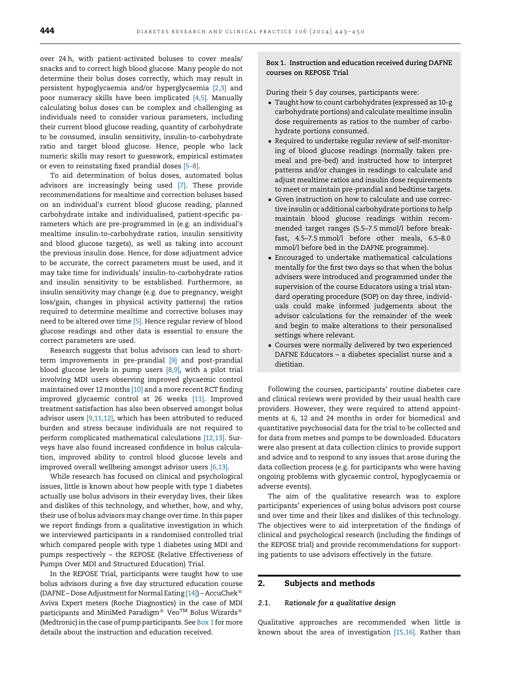over 24 h, with patient-activated boluses to cover meals/ snacks and to correct high blood glucose. Many people do not determine their bolus doses correctly, which may result in persistent hypoglycaemia and/or hyperglycaemia [\[2,3\]](#page-7-0) and poor numeracy skills have been implicated [\[4,5\].](#page-7-0) Manually calculating bolus doses can be complex and challenging as individuals need to consider various parameters, including their current blood glucose reading, quantity of carbohydrate to be consumed, insulin sensitivity, insulin-to-carbohydrate ratio and target blood glucose. Hence, people who lack numeric skills may resort to guesswork, empirical estimates or even to reinstating fixed prandial doses [\[5–8\]](#page-7-0).

To aid determination of bolus doses, automated bolus advisors are increasingly being used [\[7\]](#page-7-0). These provide recommendations for mealtime and correction boluses based on an individual's current blood glucose reading, planned carbohydrate intake and individualised, patient-specific parameters which are pre-programmed in (e.g. an individual's mealtime insulin-to-carbohydrate ratios, insulin sensitivity and blood glucose targets), as well as taking into account the previous insulin dose. Hence, for dose adjustment advice to be accurate, the correct parameters must be used, and it may take time for individuals' insulin-to-carbohydrate ratios and insulin sensitivity to be established. Furthermore, as insulin sensitivity may change (e.g. due to pregnancy, weight loss/gain, changes in physical activity patterns) the ratios required to determine mealtime and corrective boluses may need to be altered over time [\[5\].](#page-7-0) Hence regular review of blood glucose readings and other data is essential to ensure the correct parameters are used.

Research suggests that bolus advisors can lead to shortterm improvements in pre-prandial [\[9\]](#page-7-0) and post-prandial blood glucose levels in pump users  $[8,9]$ , with a pilot trial involving MDI users observing improved glycaemic control maintained over 12 months [\[10\]](#page-7-0) and a more recent RCT finding improved glycaemic control at 26 weeks [\[11\].](#page-7-0) Improved treatment satisfaction has also been observed amongst bolus advisor users [\[9,11,12\]](#page-7-0), which has been attributed to reduced burden and stress because individuals are not required to perform complicated mathematical calculations [\[12,13\].](#page-7-0) Surveys have also found increased confidence in bolus calculation, improved ability to control blood glucose levels and improved overall wellbeing amongst advisor users [\[6,13\].](#page-7-0)

While research has focused on clinical and psychological issues, little is known about how people with type 1 diabetes actually use bolus advisors in their everyday lives, their likes and dislikes of this technology, and whether, how, and why, their use of bolus advisors may change over time. In this paper we report findings from a qualitative investigation in which we interviewed participants in a randomised controlled trial which compared people with type 1 diabetes using MDI and pumps respectively – the REPOSE (Relative Effectiveness of Pumps Over MDI and Structured Education) Trial.

In the REPOSE Trial, participants were taught how to use bolus advisors during a five day structured education course (DAFNE – Dose Adjustment for Normal Eating  $[14]$ ) – AccuChek<sup>®</sup> Aviva Expert meters (Roche Diagnostics) in the case of MDI participants and MiniMed Paradigm<sup>®</sup> Veo<sup>TM</sup> Bolus Wizards<sup>®</sup> (Medtronic) in the case of pump participants. See Box 1 for more details about the instruction and education received.

## Box 1. Instruction and education received during DAFNE courses on REPOSE Trial

During their 5 day courses, participants were:

- Taught how to count carbohydrates (expressed as 10-g carbohydrate portions) and calculate mealtime insulin dose requirements as ratios to the number of carbohydrate portions consumed.
- Required to undertake regular review of self-monitoring of blood glucose readings (normally taken premeal and pre-bed) and instructed how to interpret patterns and/or changes in readings to calculate and adjust mealtime ratios and insulin dose requirements to meet or maintain pre-prandial and bedtime targets.
- Given instruction on how to calculate and use corrective insulin or additional carbohydrate portions to help maintain blood glucose readings within recommended target ranges (5.5–7.5 mmol/l before breakfast, 4.5–7.5 mmol/l before other meals, 6.5–8.0 mmol/l before bed in the DAFNE programme).
- Encouraged to undertake mathematical calculations mentally for the first two days so that when the bolus advisers were introduced and programmed under the supervision of the course Educators using a trial standard operating procedure (SOP) on day three, individuals could make informed judgements about the advisor calculations for the remainder of the week and begin to make alterations to their personalised settings where relevant.
- Courses were normally delivered by two experienced DAFNE Educators – a diabetes specialist nurse and a dietitian.

Following the courses, participants' routine diabetes care and clinical reviews were provided by their usual health care providers. However, they were required to attend appointments at 6, 12 and 24 months in order for biomedical and quantitative psychosocial data for the trial to be collected and for data from metres and pumps to be downloaded. Educators were also present at data collection clinics to provide support and advice and to respond to any issues that arose during the data collection process (e.g. for participants who were having ongoing problems with glycaemic control, hypoglycaemia or adverse events).

The aim of the qualitative research was to explore participants' experiences of using bolus advisors post course and over time and their likes and dislikes of this technology. The objectives were to aid interpretation of the findings of clinical and psychological research (including the findings of the REPOSE trial) and provide recommendations for supporting patients to use advisors effectively in the future.

## 2. Subjects and methods

## 2.1. Rationale for a qualitative design

Qualitative approaches are recommended when little is known about the area of investigation [\[15,16\]](#page-7-0). Rather than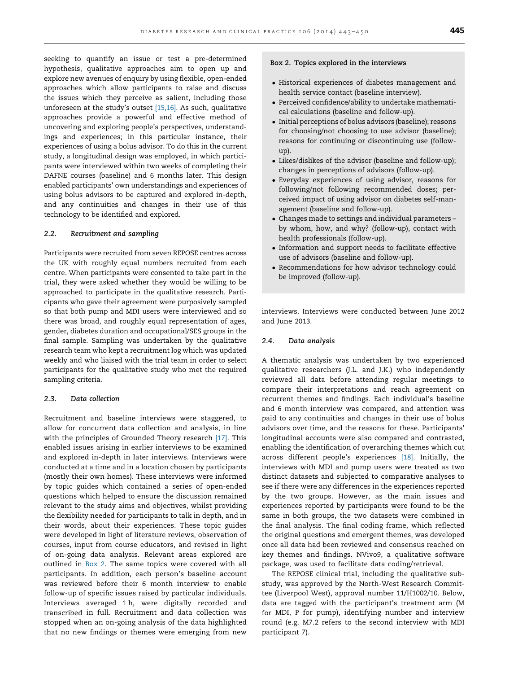seeking to quantify an issue or test a pre-determined hypothesis, qualitative approaches aim to open up and explore new avenues of enquiry by using flexible, open-ended approaches which allow participants to raise and discuss the issues which they perceive as salient, including those unforeseen at the study's outset [\[15,16\].](#page-7-0) As such, qualitative approaches provide a powerful and effective method of uncovering and exploring people's perspectives, understandings and experiences; in this particular instance, their experiences of using a bolus advisor. To do this in the current study, a longitudinal design was employed, in which participants were interviewed within two weeks of completing their DAFNE courses (baseline) and 6 months later. This design enabled participants' own understandings and experiences of using bolus advisors to be captured and explored in-depth, and any continuities and changes in their use of this technology to be identified and explored.

## 2.2. Recruitment and sampling

Participants were recruited from seven REPOSE centres across the UK with roughly equal numbers recruited from each centre. When participants were consented to take part in the trial, they were asked whether they would be willing to be approached to participate in the qualitative research. Participants who gave their agreement were purposively sampled so that both pump and MDI users were interviewed and so there was broad, and roughly equal representation of ages, gender, diabetes duration and occupational/SES groups in the final sample. Sampling was undertaken by the qualitative research team who kept a recruitment log which was updated weekly and who liaised with the trial team in order to select participants for the qualitative study who met the required sampling criteria.

#### 2.3. Data collection

Recruitment and baseline interviews were staggered, to allow for concurrent data collection and analysis, in line with the principles of Grounded Theory research [\[17\]](#page-7-0). This enabled issues arising in earlier interviews to be examined and explored in-depth in later interviews. Interviews were conducted at a time and in a location chosen by participants (mostly their own homes). These interviews were informed by topic guides which contained a series of open-ended questions which helped to ensure the discussion remained relevant to the study aims and objectives, whilst providing the flexibility needed for participants to talk in depth, and in their words, about their experiences. These topic guides were developed in light of literature reviews, observation of courses, input from course educators, and revised in light of on-going data analysis. Relevant areas explored are outlined in Box 2. The same topics were covered with all participants. In addition, each person's baseline account was reviewed before their 6 month interview to enable follow-up of specific issues raised by particular individuals. Interviews averaged 1 h, were digitally recorded and transcribed in full. Recruitment and data collection was stopped when an on-going analysis of the data highlighted that no new findings or themes were emerging from new

## Box 2. Topics explored in the interviews

- Historical experiences of diabetes management and health service contact (baseline interview).
- Perceived confidence/ability to undertake mathematical calculations (baseline and follow-up).
- Initial perceptions of bolus advisors (baseline); reasons for choosing/not choosing to use advisor (baseline); reasons for continuing or discontinuing use (follow- $\ln$
- Likes/dislikes of the advisor (baseline and follow-up); changes in perceptions of advisors (follow-up).
- Everyday experiences of using advisor, reasons for following/not following recommended doses; perceived impact of using advisor on diabetes self-management (baseline and follow-up).
- Changes made to settings and individual parameters by whom, how, and why? (follow-up), contact with health professionals (follow-up).
- $\bullet$  Information and support needs to facilitate effective use of advisors (baseline and follow-up).
- Recommendations for how advisor technology could be improved (follow-up).

interviews. Interviews were conducted between June 2012 and June 2013.

### 2.4. Data analysis

A thematic analysis was undertaken by two experienced qualitative researchers (J.L. and J.K.) who independently reviewed all data before attending regular meetings to compare their interpretations and reach agreement on recurrent themes and findings. Each individual's baseline and 6 month interview was compared, and attention was paid to any continuities and changes in their use of bolus advisors over time, and the reasons for these. Participants' longitudinal accounts were also compared and contrasted, enabling the identification of overarching themes which cut across different people's experiences [\[18\].](#page-7-0) Initially, the interviews with MDI and pump users were treated as two distinct datasets and subjected to comparative analyses to see if there were any differences in the experiences reported by the two groups. However, as the main issues and experiences reported by participants were found to be the same in both groups, the two datasets were combined in the final analysis. The final coding frame, which reflected the original questions and emergent themes, was developed once all data had been reviewed and consensus reached on key themes and findings. NVivo9, a qualitative software package, was used to facilitate data coding/retrieval.

The REPOSE clinical trial, including the qualitative substudy, was approved by the North-West Research Committee (Liverpool West), approval number 11/H1002/10. Below, data are tagged with the participant's treatment arm (M for MDI, P for pump), identifying number and interview round (e.g. M7.2 refers to the second interview with MDI participant 7).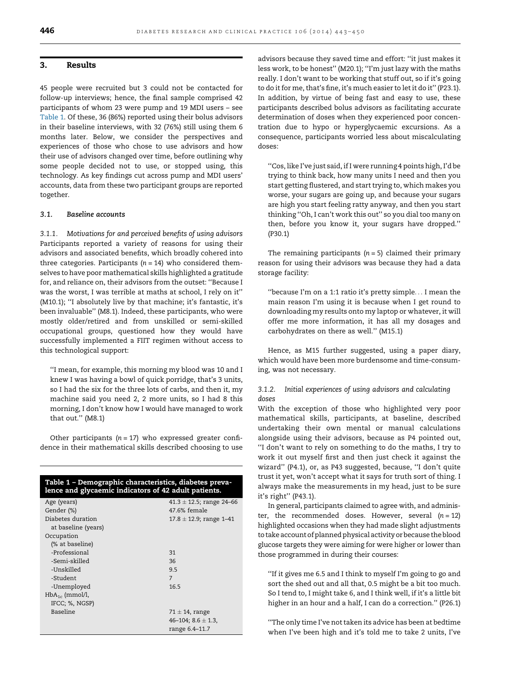## 3. Results

45 people were recruited but 3 could not be contacted for follow-up interviews; hence, the final sample comprised 42 participants of whom 23 were pump and 19 MDI users – see Table 1. Of these, 36 (86%) reported using their bolus advisors in their baseline interviews, with 32 (76%) still using them 6 months later. Below, we consider the perspectives and experiences of those who chose to use advisors and how their use of advisors changed over time, before outlining why some people decided not to use, or stopped using, this technology. As key findings cut across pump and MDI users' accounts, data from these two participant groups are reported together.

# 3.1. Baseline accounts

3.1.1. Motivations for and perceived benefits of using advisors Participants reported a variety of reasons for using their advisors and associated benefits, which broadly cohered into three categories. Participants ( $n = 14$ ) who considered themselves to have poor mathematical skills highlighted a gratitude for, and reliance on, their advisors from the outset: ''Because I was the worst, I was terrible at maths at school, I rely on it'' (M10.1); ''I absolutely live by that machine; it's fantastic, it's been invaluable'' (M8.1). Indeed, these participants, who were mostly older/retired and from unskilled or semi-skilled occupational groups, questioned how they would have successfully implemented a FIIT regimen without access to this technological support:

''I mean, for example, this morning my blood was 10 and I knew I was having a bowl of quick porridge, that's 3 units, so I had the six for the three lots of carbs, and then it, my machine said you need 2, 2 more units, so I had 8 this morning, I don't know how I would have managed to work that out.'' (M8.1)

Other participants ( $n = 17$ ) who expressed greater confidence in their mathematical skills described choosing to use

| Table 1 - Demographic characteristics, diabetes preva-<br>lence and glycaemic indicators of 42 adult patients. |                               |
|----------------------------------------------------------------------------------------------------------------|-------------------------------|
| Age (years)                                                                                                    | $41.3 \pm 12.5$ ; range 24–66 |
| Gender (%)                                                                                                     | 47.6% female                  |
| Diabetes duration                                                                                              | $17.8 \pm 12.9$ ; range 1–41  |
| at baseline (years)                                                                                            |                               |
| Occupation                                                                                                     |                               |
| (% at baseline)                                                                                                |                               |
| -Professional                                                                                                  | 31                            |
| -Semi-skilled                                                                                                  | 36                            |
| -Unskilled                                                                                                     | 9.5                           |
| -Student                                                                                                       | 7                             |
| -Unemployed                                                                                                    | 16.5                          |
| $HbA_{1c}$ (mmol/l,                                                                                            |                               |
| IFCC; %, NGSP)                                                                                                 |                               |
| Baseline                                                                                                       | $71 \pm 14$ , range           |
|                                                                                                                | 46–104; $8.6 \pm 1.3$ ,       |
|                                                                                                                | range 6.4–11.7                |

advisors because they saved time and effort: ''it just makes it less work, to be honest'' (M20.1); ''I'm just lazy with the maths really. I don't want to be working that stuff out, so if it's going to do it for me, that's fine, it's much easier to let it do it" (P23.1). In addition, by virtue of being fast and easy to use, these participants described bolus advisors as facilitating accurate determination of doses when they experienced poor concentration due to hypo or hyperglycaemic excursions. As a consequence, participants worried less about miscalculating doses:

''Cos, like I've just said, if I were running 4 points high, I'd be trying to think back, how many units I need and then you start getting flustered, and start trying to, which makes you worse, your sugars are going up, and because your sugars are high you start feeling ratty anyway, and then you start thinking ''Oh, I can't work this out'' so you dial too many on then, before you know it, your sugars have dropped.'' (P30.1)

The remaining participants  $(n = 5)$  claimed their primary reason for using their advisors was because they had a data storage facility:

''because I'm on a 1:1 ratio it's pretty simple. . . I mean the main reason I'm using it is because when I get round to downloading my results onto my laptop or whatever, it will offer me more information, it has all my dosages and carbohydrates on there as well.'' (M15.1)

Hence, as M15 further suggested, using a paper diary, which would have been more burdensome and time-consuming, was not necessary.

# 3.1.2. Initial experiences of using advisors and calculating doses

With the exception of those who highlighted very poor mathematical skills, participants, at baseline, described undertaking their own mental or manual calculations alongside using their advisors, because as P4 pointed out, ''I don't want to rely on something to do the maths, I try to work it out myself first and then just check it against the wizard'' (P4.1), or, as P43 suggested, because, ''I don't quite trust it yet, won't accept what it says for truth sort of thing. I always make the measurements in my head, just to be sure it's right'' (P43.1).

In general, participants claimed to agree with, and administer, the recommended doses. However, several  $(n = 12)$ highlighted occasions when they had made slight adjustments to take account of planned physical activity or because the blood glucose targets they were aiming for were higher or lower than those programmed in during their courses:

''If it gives me 6.5 and I think to myself I'm going to go and sort the shed out and all that, 0.5 might be a bit too much. So I tend to, I might take 6, and I think well, if it's a little bit higher in an hour and a half, I can do a correction.'' (P26.1)

"The only time I've not taken its advice has been at bedtime when I've been high and it's told me to take 2 units, I've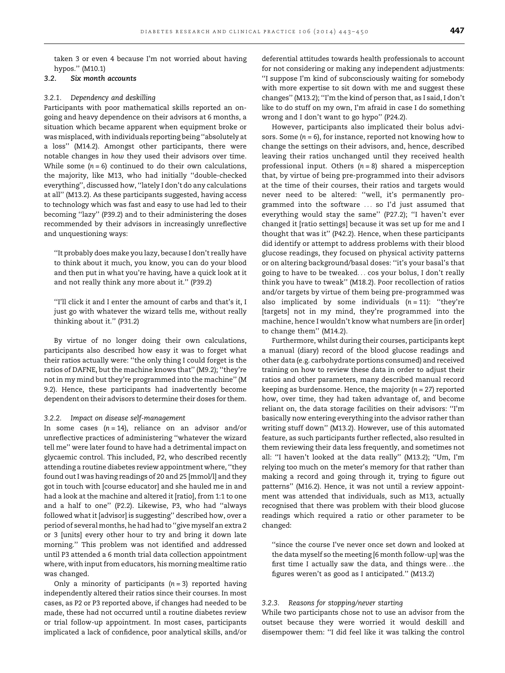taken 3 or even 4 because I'm not worried about having hypos.'' (M10.1)

## 3.2. Six month accounts

#### 3.2.1. Dependency and deskilling

Participants with poor mathematical skills reported an ongoing and heavy dependence on their advisors at 6 months, a situation which became apparent when equipment broke or was misplaced, with individuals reporting being ''absolutely at a loss'' (M14.2). Amongst other participants, there were notable changes in how they used their advisors over time. While some  $(n = 6)$  continued to do their own calculations, the majority, like M13, who had initially ''double-checked everything'', discussed how, ''lately I don't do any calculations at all'' (M13.2). As these participants suggested, having access to technology which was fast and easy to use had led to their becoming ''lazy'' (P39.2) and to their administering the doses recommended by their advisors in increasingly unreflective and unquestioning ways:

''It probably does make you lazy, because I don't really have to think about it much, you know, you can do your blood and then put in what you're having, have a quick look at it and not really think any more about it.'' (P39.2)

''I'll click it and I enter the amount of carbs and that's it, I just go with whatever the wizard tells me, without really thinking about it.'' (P31.2)

By virtue of no longer doing their own calculations, participants also described how easy it was to forget what their ratios actually were: ''the only thing I could forget is the ratios of DAFNE, but the machine knows that'' (M9.2); ''they're not in my mind but they're programmed into the machine'' (M 9.2). Hence, these participants had inadvertently become dependent on their advisors to determine their doses for them.

## 3.2.2. Impact on disease self-management

In some cases  $(n = 14)$ , reliance on an advisor and/or unreflective practices of administering ''whatever the wizard tell me'' were later found to have had a detrimental impact on glycaemic control. This included, P2, who described recently attending a routine diabetes review appointment where, ''they found out I was having readings of 20 and 25 [mmol/l] and they got in touch with [course educator] and she hauled me in and had a look at the machine and altered it [ratio], from 1:1 to one and a half to one'' (P2.2). Likewise, P3, who had ''always followed what it [advisor] is suggesting'' described how, over a period of several months, he had had to ''give myself an extra 2 or 3 [units] every other hour to try and bring it down late morning.'' This problem was not identified and addressed until P3 attended a 6 month trial data collection appointment where, with input from educators, his morning mealtime ratio was changed.

Only a minority of participants  $(n = 3)$  reported having independently altered their ratios since their courses. In most cases, as P2 or P3 reported above, if changes had needed to be made, these had not occurred until a routine diabetes review or trial follow-up appointment. In most cases, participants implicated a lack of confidence, poor analytical skills, and/or

deferential attitudes towards health professionals to account for not considering or making any independent adjustments: ''I suppose I'm kind of subconsciously waiting for somebody with more expertise to sit down with me and suggest these changes'' (M13.2); ''I'm the kind of person that, as I said, I don't like to do stuff on my own, I'm afraid in case I do something wrong and I don't want to go hypo'' (P24.2).

However, participants also implicated their bolus advisors. Some  $(n = 6)$ , for instance, reported not knowing how to change the settings on their advisors, and, hence, described leaving their ratios unchanged until they received health professional input. Others  $(n = 8)$  shared a misperception that, by virtue of being pre-programmed into their advisors at the time of their courses, their ratios and targets would never need to be altered: ''well, it's permanently programmed into the software . . . so I'd just assumed that everything would stay the same'' (P27.2); ''I haven't ever changed it [ratio settings] because it was set up for me and I thought that was it'' (P42.2). Hence, when these participants did identify or attempt to address problems with their blood glucose readings, they focused on physical activity patterns or on altering background/basal doses: ''it's your basal's that going to have to be tweaked. . . cos your bolus, I don't really think you have to tweak'' (M18.2). Poor recollection of ratios and/or targets by virtue of them being pre-programmed was also implicated by some individuals  $(n = 11)$ : "they're [targets] not in my mind, they're programmed into the machine, hence I wouldn't know what numbers are [in order] to change them'' (M14.2).

Furthermore, whilst during their courses, participants kept a manual (diary) record of the blood glucose readings and other data (e.g. carbohydrate portions consumed) and received training on how to review these data in order to adjust their ratios and other parameters, many described manual record keeping as burdensome. Hence, the majority  $(n = 27)$  reported how, over time, they had taken advantage of, and become reliant on, the data storage facilities on their advisors: ''I'm basically now entering everything into the advisor rather than writing stuff down'' (M13.2). However, use of this automated feature, as such participants further reflected, also resulted in them reviewing their data less frequently, and sometimes not all: ''I haven't looked at the data really'' (M13.2); ''Um, I'm relying too much on the meter's memory for that rather than making a record and going through it, trying to figure out patterns'' (M16.2). Hence, it was not until a review appointment was attended that individuals, such as M13, actually recognised that there was problem with their blood glucose readings which required a ratio or other parameter to be changed:

''since the course I've never once set down and looked at the data myself so the meeting [6 month follow-up] was the first time I actually saw the data, and things were. . .the figures weren't as good as I anticipated.'' (M13.2)

## 3.2.3. Reasons for stopping/never starting

While two participants chose not to use an advisor from the outset because they were worried it would deskill and disempower them: ''I did feel like it was talking the control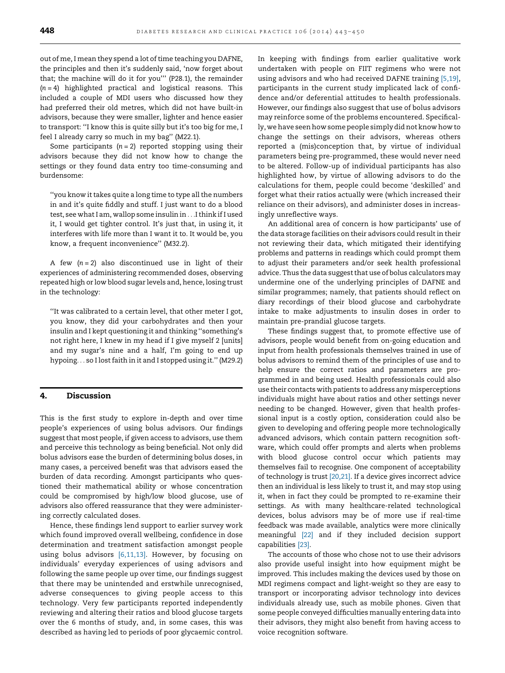out of me, I mean they spend a lot of time teaching you DAFNE, the principles and then it's suddenly said, 'now forget about that; the machine will do it for you''' (P28.1), the remainder  $(n = 4)$  highlighted practical and logistical reasons. This included a couple of MDI users who discussed how they had preferred their old metres, which did not have built-in advisors, because they were smaller, lighter and hence easier to transport: ''I know this is quite silly but it's too big for me, I feel I already carry so much in my bag'' (M22.1).

Some participants  $(n = 2)$  reported stopping using their advisors because they did not know how to change the settings or they found data entry too time-consuming and burdensome:

''you know it takes quite a long time to type all the numbers in and it's quite fiddly and stuff. I just want to do a blood test, see what I am, wallop some insulin in . . . I think if I used it, I would get tighter control. It's just that, in using it, it interferes with life more than I want it to. It would be, you know, a frequent inconvenience'' (M32.2).

A few  $(n = 2)$  also discontinued use in light of their experiences of administering recommended doses, observing repeated high or low blood sugar levels and, hence, losing trust in the technology:

''It was calibrated to a certain level, that other meter I got, you know, they did your carbohydrates and then your insulin and I kept questioning it and thinking ''something's not right here, I knew in my head if I give myself 2 [units] and my sugar's nine and a half, I'm going to end up hypoing. . . so I lost faith in it and I stopped using it.'' (M29.2)

# 4. Discussion

This is the first study to explore in-depth and over time people's experiences of using bolus advisors. Our findings suggest that most people, if given access to advisors, use them and perceive this technology as being beneficial. Not only did bolus advisors ease the burden of determining bolus doses, in many cases, a perceived benefit was that advisors eased the burden of data recording. Amongst participants who questioned their mathematical ability or whose concentration could be compromised by high/low blood glucose, use of advisors also offered reassurance that they were administering correctly calculated doses.

Hence, these findings lend support to earlier survey work which found improved overall wellbeing, confidence in dose determination and treatment satisfaction amongst people using bolus advisors [\[6,11,13\].](#page-7-0) However, by focusing on individuals' everyday experiences of using advisors and following the same people up over time, our findings suggest that there may be unintended and erstwhile unrecognised, adverse consequences to giving people access to this technology. Very few participants reported independently reviewing and altering their ratios and blood glucose targets over the 6 months of study, and, in some cases, this was described as having led to periods of poor glycaemic control.

In keeping with findings from earlier qualitative work undertaken with people on FIIT regimens who were not using advisors and who had received DAFNE training [\[5,19\]](#page-7-0), participants in the current study implicated lack of confidence and/or deferential attitudes to health professionals. However, our findings also suggest that use of bolus advisors may reinforce some of the problems encountered. Specifically, we have seen how some people simply didnot know how to change the settings on their advisors, whereas others reported a (mis)conception that, by virtue of individual parameters being pre-programmed, these would never need to be altered. Follow-up of individual participants has also highlighted how, by virtue of allowing advisors to do the calculations for them, people could become 'deskilled' and forget what their ratios actually were (which increased their reliance on their advisors), and administer doses in increasingly unreflective ways.

An additional area of concern is how participants' use of the data storage facilities on their advisors could result in their not reviewing their data, which mitigated their identifying problems and patterns in readings which could prompt them to adjust their parameters and/or seek health professional advice. Thus the data suggest that use of bolus calculators may undermine one of the underlying principles of DAFNE and similar programmes; namely, that patients should reflect on diary recordings of their blood glucose and carbohydrate intake to make adjustments to insulin doses in order to maintain pre-prandial glucose targets.

These findings suggest that, to promote effective use of advisors, people would benefit from on-going education and input from health professionals themselves trained in use of bolus advisors to remind them of the principles of use and to help ensure the correct ratios and parameters are programmed in and being used. Health professionals could also use their contacts with patients to address any misperceptions individuals might have about ratios and other settings never needing to be changed. However, given that health professional input is a costly option, consideration could also be given to developing and offering people more technologically advanced advisors, which contain pattern recognition software, which could offer prompts and alerts when problems with blood glucose control occur which patients may themselves fail to recognise. One component of acceptability of technology is trust [\[20,21\]](#page-7-0). If a device gives incorrect advice then an individual is less likely to trust it, and may stop using it, when in fact they could be prompted to re-examine their settings. As with many healthcare-related technological devices, bolus advisors may be of more use if real-time feedback was made available, analytics were more clinically meaningful [\[22\]](#page-7-0) and if they included decision support capabilities [\[23\].](#page-7-0)

The accounts of those who chose not to use their advisors also provide useful insight into how equipment might be improved. This includes making the devices used by those on MDI regimens compact and light-weight so they are easy to transport or incorporating advisor technology into devices individuals already use, such as mobile phones. Given that some people conveyed difficulties manually entering data into their advisors, they might also benefit from having access to voice recognition software.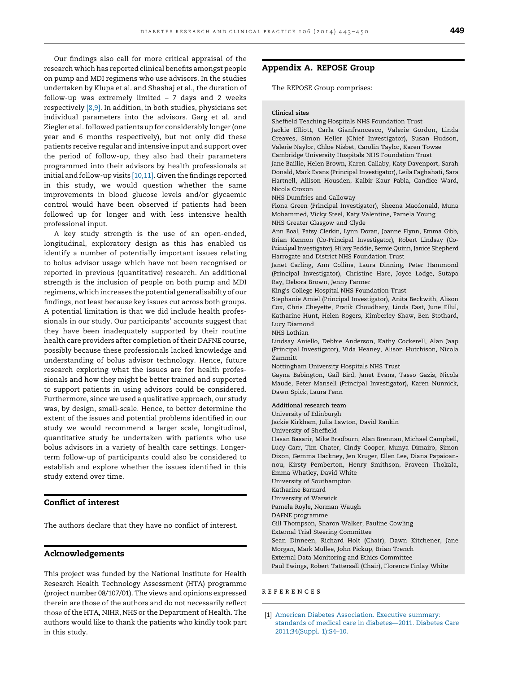<span id="page-6-0"></span>Our findings also call for more critical appraisal of the research which has reported clinical benefits amongst people on pump and MDI regimens who use advisors. In the studies undertaken by Klupa et al. and Shashaj et al., the duration of follow-up was extremely limited – 7 days and 2 weeks respectively [\[8,9\]](#page-7-0). In addition, in both studies, physicians set individual parameters into the advisors. Garg et al. and Ziegler et al. followed patients up for considerably longer (one year and 6 months respectively), but not only did these patients receive regular and intensive input and support over the period of follow-up, they also had their parameters programmed into their advisors by health professionals at initial and follow-up visits [\[10,11\]](#page-7-0). Given the findings reported in this study, we would question whether the same improvements in blood glucose levels and/or glycaemic control would have been observed if patients had been followed up for longer and with less intensive health professional input.

A key study strength is the use of an open-ended, longitudinal, exploratory design as this has enabled us identify a number of potentially important issues relating to bolus advisor usage which have not been recognised or reported in previous (quantitative) research. An additional strength is the inclusion of people on both pump and MDI regimens, which increases the potential generalisabilty of our findings, not least because key issues cut across both groups. A potential limitation is that we did include health professionals in our study. Our participants' accounts suggest that they have been inadequately supported by their routine health care providers after completion of their DAFNE course, possibly because these professionals lacked knowledge and understanding of bolus advisor technology. Hence, future research exploring what the issues are for health professionals and how they might be better trained and supported to support patients in using advisors could be considered. Furthermore, since we used a qualitative approach, our study was, by design, small-scale. Hence, to better determine the extent of the issues and potential problems identified in our study we would recommend a larger scale, longitudinal, quantitative study be undertaken with patients who use bolus advisors in a variety of health care settings. Longerterm follow-up of participants could also be considered to establish and explore whether the issues identified in this study extend over time.

# Conflict of interest

The authors declare that they have no conflict of interest.

# Acknowledgements

This project was funded by the National Institute for Health Research Health Technology Assessment (HTA) programme (project number 08/107/01). The views and opinions expressed therein are those of the authors and do not necessarily reflect those of the HTA, NIHR, NHS or the Department of Health. The authors would like to thank the patients who kindly took part in this study.

# Appendix A. REPOSE Group

The REPOSE Group comprises:

#### Clinical sites

Sheffield Teaching Hospitals NHS Foundation Trust

Jackie Elliott, Carla Gianfrancesco, Valerie Gordon, Linda Greaves, Simon Heller (Chief Investigator), Susan Hudson, Valerie Naylor, Chloe Nisbet, Carolin Taylor, Karen Towse Cambridge University Hospitals NHS Foundation Trust

Jane Baillie, Helen Brown, Karen Callaby, Katy Davenport, Sarah Donald, Mark Evans (Principal Investigator), Leila Faghahati, Sara Hartnell, Allison Housden, Kalbir Kaur Pabla, Candice Ward, Nicola Croxon

NHS Dumfries and Galloway

Fiona Green (Principal Investigator), Sheena Macdonald, Muna Mohammed, Vicky Steel, Katy Valentine, Pamela Young NHS Greater Glasgow and Clyde

Ann Boal, Patsy Clerkin, Lynn Doran, Joanne Flynn, Emma Gibb, Brian Kennon (Co-Principal Investigator), Robert Lindsay (Co-Principal Investigator), Hilary Peddie, Bernie Quinn, Janice Shepherd Harrogate and District NHS Foundation Trust

Janet Carling, Ann Collins, Laura Dinning, Peter Hammond (Principal Investigator), Christine Hare, Joyce Lodge, Sutapa Ray, Debora Brown, Jenny Farmer

King's College Hospital NHS Foundation Trust

Stephanie Amiel (Principal Investigator), Anita Beckwith, Alison Cox, Chris Cheyette, Pratik Choudhary, Linda East, June Ellul, Katharine Hunt, Helen Rogers, Kimberley Shaw, Ben Stothard, Lucy Diamond

NHS Lothian

Lindsay Aniello, Debbie Anderson, Kathy Cockerell, Alan Jaap (Principal Investigator), Vida Heaney, Alison Hutchison, Nicola Zammitt

Nottingham University Hospitals NHS Trust

Gayna Babington, Gail Bird, Janet Evans, Tasso Gazis, Nicola Maude, Peter Mansell (Principal Investigator), Karen Nunnick, Dawn Spick, Laura Fenn

#### Additional research team

University of Edinburgh

Jackie Kirkham, Julia Lawton, David Rankin

University of Sheffield

Hasan Basarir, Mike Bradburn, Alan Brennan, Michael Campbell, Lucy Carr, Tim Chater, Cindy Cooper, Munya Dimairo, Simon Dixon, Gemma Hackney, Jen Kruger, Ellen Lee, Diana Papaioannou, Kirsty Pemberton, Henry Smithson, Praveen Thokala, Emma Whatley, David White University of Southampton Katharine Barnard University of Warwick Pamela Royle, Norman Waugh DAFNE programme Gill Thompson, Sharon Walker, Pauline Cowling External Trial Steering Committee Sean Dinneen, Richard Holt (Chair), Dawn Kitchener, Jane Morgan, Mark Mullee, John Pickup, Brian Trench External Data Monitoring and Ethics Committee

Paul Ewings, Robert Tattersall (Chair), Florence Finlay White

## r e f e r e n c e s

<sup>[1]</sup> American Diabetes [Association.](http://refhub.elsevier.com/S0168-8227(14)00411-2/sbref0005) Executive summary: standards of medical care in [diabetes—2011.](http://refhub.elsevier.com/S0168-8227(14)00411-2/sbref0005) Diabetes Care [2011;34\(Suppl.](http://refhub.elsevier.com/S0168-8227(14)00411-2/sbref0005) 1):S4–10.